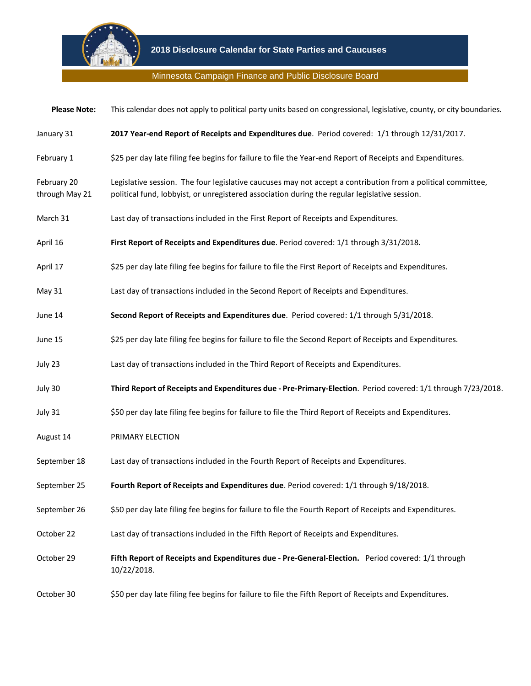

## Minnesota Campaign Finance and Public Disclosure Board

| <b>Please Note:</b>           | This calendar does not apply to political party units based on congressional, legislative, county, or city boundaries.                                                                                        |
|-------------------------------|---------------------------------------------------------------------------------------------------------------------------------------------------------------------------------------------------------------|
| January 31                    | 2017 Year-end Report of Receipts and Expenditures due. Period covered: 1/1 through 12/31/2017.                                                                                                                |
| February 1                    | \$25 per day late filing fee begins for failure to file the Year-end Report of Receipts and Expenditures.                                                                                                     |
| February 20<br>through May 21 | Legislative session. The four legislative caucuses may not accept a contribution from a political committee,<br>political fund, lobbyist, or unregistered association during the regular legislative session. |
| March 31                      | Last day of transactions included in the First Report of Receipts and Expenditures.                                                                                                                           |
| April 16                      | First Report of Receipts and Expenditures due. Period covered: 1/1 through 3/31/2018.                                                                                                                         |
| April 17                      | \$25 per day late filing fee begins for failure to file the First Report of Receipts and Expenditures.                                                                                                        |
| May 31                        | Last day of transactions included in the Second Report of Receipts and Expenditures.                                                                                                                          |
| June 14                       | Second Report of Receipts and Expenditures due. Period covered: 1/1 through 5/31/2018.                                                                                                                        |
| June 15                       | \$25 per day late filing fee begins for failure to file the Second Report of Receipts and Expenditures.                                                                                                       |
| July 23                       | Last day of transactions included in the Third Report of Receipts and Expenditures.                                                                                                                           |
| July 30                       | Third Report of Receipts and Expenditures due - Pre-Primary-Election. Period covered: 1/1 through 7/23/2018.                                                                                                  |
| July 31                       | \$50 per day late filing fee begins for failure to file the Third Report of Receipts and Expenditures.                                                                                                        |
| August 14                     | PRIMARY ELECTION                                                                                                                                                                                              |
| September 18                  | Last day of transactions included in the Fourth Report of Receipts and Expenditures.                                                                                                                          |
| September 25                  | Fourth Report of Receipts and Expenditures due. Period covered: 1/1 through 9/18/2018.                                                                                                                        |
| September 26                  | \$50 per day late filing fee begins for failure to file the Fourth Report of Receipts and Expenditures.                                                                                                       |
| October 22                    | Last day of transactions included in the Fifth Report of Receipts and Expenditures.                                                                                                                           |
| October 29                    | Fifth Report of Receipts and Expenditures due - Pre-General-Election. Period covered: 1/1 through<br>10/22/2018.                                                                                              |
| October 30                    | \$50 per day late filing fee begins for failure to file the Fifth Report of Receipts and Expenditures.                                                                                                        |